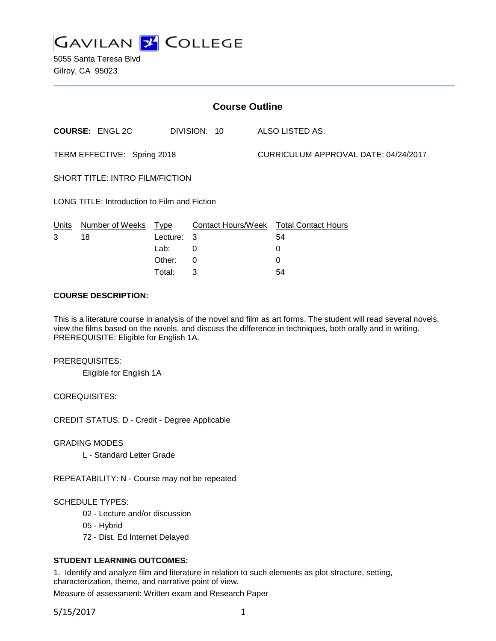

5055 Santa Teresa Blvd Gilroy, CA 95023

| <b>Course Outline</b>                        |                        |             |                    |                                      |                            |
|----------------------------------------------|------------------------|-------------|--------------------|--------------------------------------|----------------------------|
|                                              | <b>COURSE: ENGL 2C</b> |             | DIVISION: 10       |                                      | ALSO LISTED AS:            |
| TERM EFFECTIVE: Spring 2018                  |                        |             |                    | CURRICULUM APPROVAL DATE: 04/24/2017 |                            |
| <b>SHORT TITLE: INTRO FILM/FICTION</b>       |                        |             |                    |                                      |                            |
| LONG TITLE: Introduction to Film and Fiction |                        |             |                    |                                      |                            |
| Units                                        | Number of Weeks        | <u>Type</u> | Contact Hours/Week |                                      | <b>Total Contact Hours</b> |
| 3                                            | 18                     | Lecture:    | 3                  |                                      | 54                         |
|                                              |                        | Lab:        | 0                  |                                      | 0                          |
|                                              |                        | Other:      | 0                  |                                      | 0                          |

## **COURSE DESCRIPTION:**

This is a literature course in analysis of the novel and film as art forms. The student will read several novels, view the films based on the novels, and discuss the difference in techniques, both orally and in writing. PREREQUISITE: Eligible for English 1A.

Total: 3 54

### PREREQUISITES:

Eligible for English 1A

# COREQUISITES:

CREDIT STATUS: D - Credit - Degree Applicable

### GRADING MODES

L - Standard Letter Grade

REPEATABILITY: N - Course may not be repeated

### SCHEDULE TYPES:

- 02 Lecture and/or discussion
- 05 Hybrid
- 72 Dist. Ed Internet Delayed

# **STUDENT LEARNING OUTCOMES:**

1. Identify and analyze film and literature in relation to such elements as plot structure, setting, characterization, theme, and narrative point of view.

Measure of assessment: Written exam and Research Paper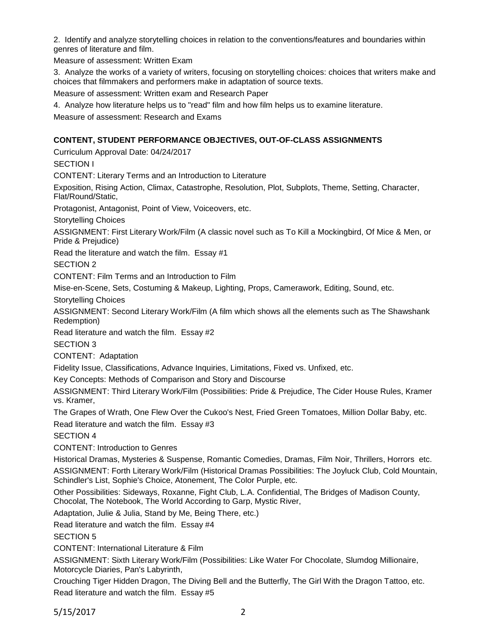2. Identify and analyze storytelling choices in relation to the conventions/features and boundaries within genres of literature and film.

Measure of assessment: Written Exam

3. Analyze the works of a variety of writers, focusing on storytelling choices: choices that writers make and choices that filmmakers and performers make in adaptation of source texts.

Measure of assessment: Written exam and Research Paper

4. Analyze how literature helps us to "read" film and how film helps us to examine literature.

Measure of assessment: Research and Exams

## **CONTENT, STUDENT PERFORMANCE OBJECTIVES, OUT-OF-CLASS ASSIGNMENTS**

Curriculum Approval Date: 04/24/2017

SECTION I

CONTENT: Literary Terms and an Introduction to Literature

Exposition, Rising Action, Climax, Catastrophe, Resolution, Plot, Subplots, Theme, Setting, Character, Flat/Round/Static,

Protagonist, Antagonist, Point of View, Voiceovers, etc.

Storytelling Choices

ASSIGNMENT: First Literary Work/Film (A classic novel such as To Kill a Mockingbird, Of Mice & Men, or Pride & Prejudice)

Read the literature and watch the film. Essay #1

SECTION 2

CONTENT: Film Terms and an Introduction to Film

Mise-en-Scene, Sets, Costuming & Makeup, Lighting, Props, Camerawork, Editing, Sound, etc.

Storytelling Choices

ASSIGNMENT: Second Literary Work/Film (A film which shows all the elements such as The Shawshank Redemption)

Read literature and watch the film. Essay #2

SECTION 3

CONTENT: Adaptation

Fidelity Issue, Classifications, Advance Inquiries, Limitations, Fixed vs. Unfixed, etc.

Key Concepts: Methods of Comparison and Story and Discourse

ASSIGNMENT: Third Literary Work/Film (Possibilities: Pride & Prejudice, The Cider House Rules, Kramer vs. Kramer,

The Grapes of Wrath, One Flew Over the Cukoo's Nest, Fried Green Tomatoes, Million Dollar Baby, etc. Read literature and watch the film. Essay #3

SECTION 4

CONTENT: Introduction to Genres

Historical Dramas, Mysteries & Suspense, Romantic Comedies, Dramas, Film Noir, Thrillers, Horrors etc.

ASSIGNMENT: Forth Literary Work/Film (Historical Dramas Possibilities: The Joyluck Club, Cold Mountain, Schindler's List, Sophie's Choice, Atonement, The Color Purple, etc.

Other Possibilities: Sideways, Roxanne, Fight Club, L.A. Confidential, The Bridges of Madison County, Chocolat, The Notebook, The World According to Garp, Mystic River,

Adaptation, Julie & Julia, Stand by Me, Being There, etc.)

Read literature and watch the film. Essay #4

SECTION 5

CONTENT: International Literature & Film

ASSIGNMENT: Sixth Literary Work/Film (Possibilities: Like Water For Chocolate, Slumdog Millionaire, Motorcycle Diaries, Pan's Labyrinth,

Crouching Tiger Hidden Dragon, The Diving Bell and the Butterfly, The Girl With the Dragon Tattoo, etc. Read literature and watch the film. Essay #5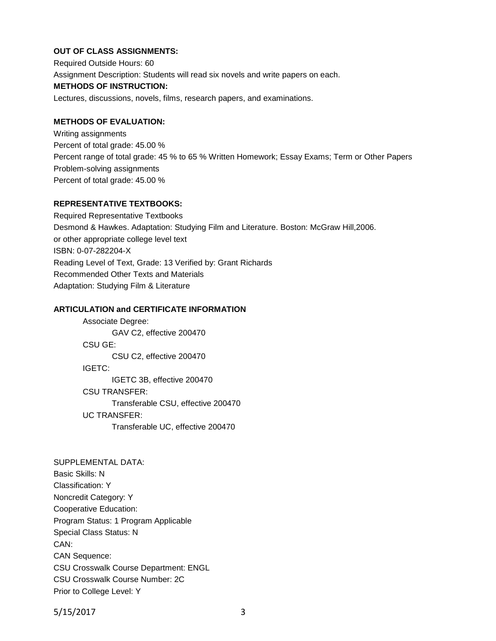# **OUT OF CLASS ASSIGNMENTS:**

Required Outside Hours: 60 Assignment Description: Students will read six novels and write papers on each. **METHODS OF INSTRUCTION:** Lectures, discussions, novels, films, research papers, and examinations.

## **METHODS OF EVALUATION:**

Writing assignments Percent of total grade: 45.00 % Percent range of total grade: 45 % to 65 % Written Homework; Essay Exams; Term or Other Papers Problem-solving assignments Percent of total grade: 45.00 %

# **REPRESENTATIVE TEXTBOOKS:**

Required Representative Textbooks Desmond & Hawkes. Adaptation: Studying Film and Literature. Boston: McGraw Hill,2006. or other appropriate college level text ISBN: 0-07-282204-X Reading Level of Text, Grade: 13 Verified by: Grant Richards Recommended Other Texts and Materials Adaptation: Studying Film & Literature

## **ARTICULATION and CERTIFICATE INFORMATION**

Associate Degree: GAV C2, effective 200470 CSU GE: CSU C2, effective 200470 IGETC: IGETC 3B, effective 200470 CSU TRANSFER: Transferable CSU, effective 200470 UC TRANSFER: Transferable UC, effective 200470

SUPPLEMENTAL DATA: Basic Skills: N Classification: Y Noncredit Category: Y Cooperative Education: Program Status: 1 Program Applicable Special Class Status: N CAN: CAN Sequence: CSU Crosswalk Course Department: ENGL CSU Crosswalk Course Number: 2C Prior to College Level: Y

5/15/2017 3